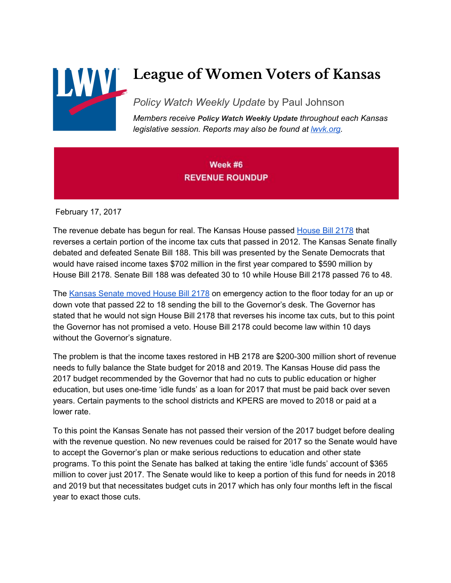

# **League of Women Voters of Kansas**

*Policy Watch Weekly Update* by Paul Johnson

*Members receive Policy Watch Weekly Update throughout each Kansas legislative session. Reports may also be found at [lwvk.org.](http://lwvk.org/ks-legislative-reports)*

#### Week #6 **REVENUE ROUNDUP**

February 17, 2017

The revenue debate has begun for real. The Kansas House passed [House](http://www.kslegislature.org/li/b2017_18/measures/hb2178/) Bill 2178 that reverses a certain portion of the income tax cuts that passed in 2012. The Kansas Senate finally debated and defeated Senate Bill 188. This bill was presented by the Senate Democrats that would have raised income taxes \$702 million in the first year compared to \$590 million by House Bill 2178. Senate Bill 188 was defeated 30 to 10 while House Bill 2178 passed 76 to 48.

The [Kansas](http://www.kslegislature.org/li/b2017_18/measures/hb2178/) Senate moved House Bill 2178 on emergency action to the floor today for an up or down vote that passed 22 to 18 sending the bill to the Governor's desk. The Governor has stated that he would not sign House Bill 2178 that reverses his income tax cuts, but to this point the Governor has not promised a veto. House Bill 2178 could become law within 10 days without the Governor's signature.

The problem is that the income taxes restored in HB 2178 are \$200-300 million short of revenue needs to fully balance the State budget for 2018 and 2019. The Kansas House did pass the 2017 budget recommended by the Governor that had no cuts to public education or higher education, but uses one-time 'idle funds' as a loan for 2017 that must be paid back over seven years. Certain payments to the school districts and KPERS are moved to 2018 or paid at a lower rate.

To this point the Kansas Senate has not passed their version of the 2017 budget before dealing with the revenue question. No new revenues could be raised for 2017 so the Senate would have to accept the Governor's plan or make serious reductions to education and other state programs. To this point the Senate has balked at taking the entire 'idle funds' account of \$365 million to cover just 2017. The Senate would like to keep a portion of this fund for needs in 2018 and 2019 but that necessitates budget cuts in 2017 which has only four months left in the fiscal year to exact those cuts.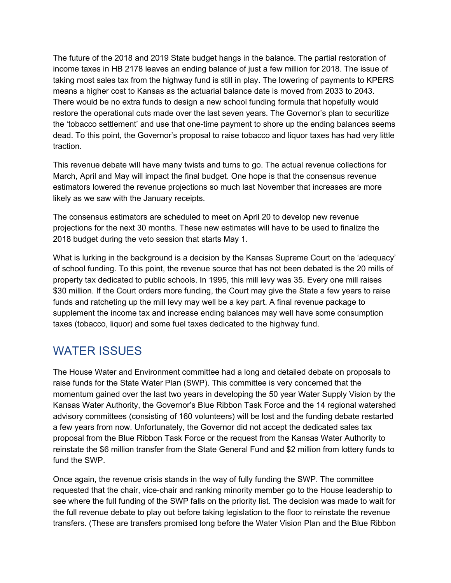The future of the 2018 and 2019 State budget hangs in the balance. The partial restoration of income taxes in HB 2178 leaves an ending balance of just a few million for 2018. The issue of taking most sales tax from the highway fund is still in play. The lowering of payments to KPERS means a higher cost to Kansas as the actuarial balance date is moved from 2033 to 2043. There would be no extra funds to design a new school funding formula that hopefully would restore the operational cuts made over the last seven years. The Governor's plan to securitize the 'tobacco settlement' and use that one-time payment to shore up the ending balances seems dead. To this point, the Governor's proposal to raise tobacco and liquor taxes has had very little traction.

This revenue debate will have many twists and turns to go. The actual revenue collections for March, April and May will impact the final budget. One hope is that the consensus revenue estimators lowered the revenue projections so much last November that increases are more likely as we saw with the January receipts.

The consensus estimators are scheduled to meet on April 20 to develop new revenue projections for the next 30 months. These new estimates will have to be used to finalize the 2018 budget during the veto session that starts May 1.

What is lurking in the background is a decision by the Kansas Supreme Court on the 'adequacy' of school funding. To this point, the revenue source that has not been debated is the 20 mills of property tax dedicated to public schools. In 1995, this mill levy was 35. Every one mill raises \$30 million. If the Court orders more funding, the Court may give the State a few years to raise funds and ratcheting up the mill levy may well be a key part. A final revenue package to supplement the income tax and increase ending balances may well have some consumption taxes (tobacco, liquor) and some fuel taxes dedicated to the highway fund.

#### WATER ISSUES

The House Water and Environment committee had a long and detailed debate on proposals to raise funds for the State Water Plan (SWP). This committee is very concerned that the momentum gained over the last two years in developing the 50 year Water Supply Vision by the Kansas Water Authority, the Governor's Blue Ribbon Task Force and the 14 regional watershed advisory committees (consisting of 160 volunteers) will be lost and the funding debate restarted a few years from now. Unfortunately, the Governor did not accept the dedicated sales tax proposal from the Blue Ribbon Task Force or the request from the Kansas Water Authority to reinstate the \$6 million transfer from the State General Fund and \$2 million from lottery funds to fund the SWP.

Once again, the revenue crisis stands in the way of fully funding the SWP. The committee requested that the chair, vice-chair and ranking minority member go to the House leadership to see where the full funding of the SWP falls on the priority list. The decision was made to wait for the full revenue debate to play out before taking legislation to the floor to reinstate the revenue transfers. (These are transfers promised long before the Water Vision Plan and the Blue Ribbon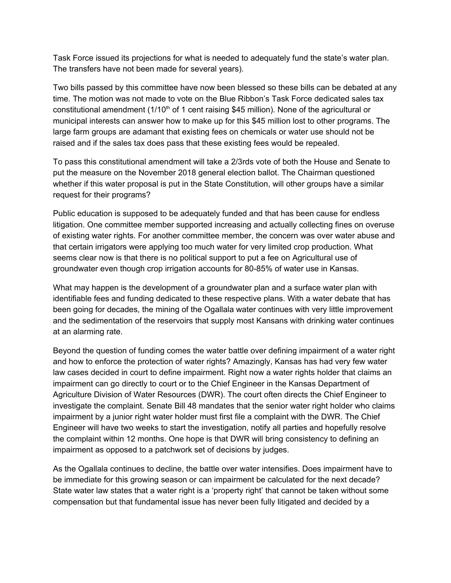Task Force issued its projections for what is needed to adequately fund the state's water plan. The transfers have not been made for several years).

Two bills passed by this committee have now been blessed so these bills can be debated at any time. The motion was not made to vote on the Blue Ribbon's Task Force dedicated sales tax constitutional amendment (1/10<sup>th</sup> of 1 cent raising \$45 million). None of the agricultural or municipal interests can answer how to make up for this \$45 million lost to other programs. The large farm groups are adamant that existing fees on chemicals or water use should not be raised and if the sales tax does pass that these existing fees would be repealed.

To pass this constitutional amendment will take a 2/3rds vote of both the House and Senate to put the measure on the November 2018 general election ballot. The Chairman questioned whether if this water proposal is put in the State Constitution, will other groups have a similar request for their programs?

Public education is supposed to be adequately funded and that has been cause for endless litigation. One committee member supported increasing and actually collecting fines on overuse of existing water rights. For another committee member, the concern was over water abuse and that certain irrigators were applying too much water for very limited crop production. What seems clear now is that there is no political support to put a fee on Agricultural use of groundwater even though crop irrigation accounts for 80-85% of water use in Kansas.

What may happen is the development of a groundwater plan and a surface water plan with identifiable fees and funding dedicated to these respective plans. With a water debate that has been going for decades, the mining of the Ogallala water continues with very little improvement and the sedimentation of the reservoirs that supply most Kansans with drinking water continues at an alarming rate.

Beyond the question of funding comes the water battle over defining impairment of a water right and how to enforce the protection of water rights? Amazingly, Kansas has had very few water law cases decided in court to define impairment. Right now a water rights holder that claims an impairment can go directly to court or to the Chief Engineer in the Kansas Department of Agriculture Division of Water Resources (DWR). The court often directs the Chief Engineer to investigate the complaint. Senate Bill 48 mandates that the senior water right holder who claims impairment by a junior right water holder must first file a complaint with the DWR. The Chief Engineer will have two weeks to start the investigation, notify all parties and hopefully resolve the complaint within 12 months. One hope is that DWR will bring consistency to defining an impairment as opposed to a patchwork set of decisions by judges.

As the Ogallala continues to decline, the battle over water intensifies. Does impairment have to be immediate for this growing season or can impairment be calculated for the next decade? State water law states that a water right is a 'property right' that cannot be taken without some compensation but that fundamental issue has never been fully litigated and decided by a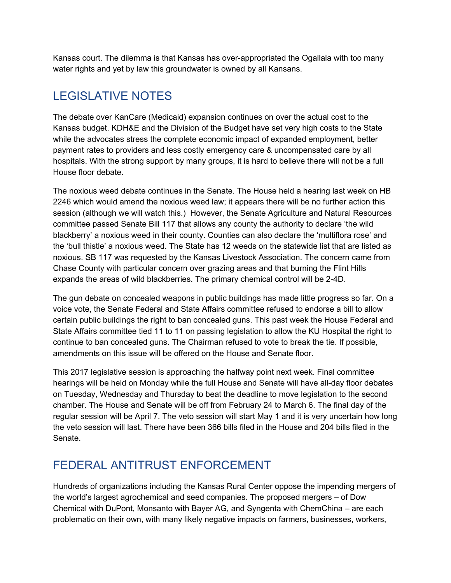Kansas court. The dilemma is that Kansas has over-appropriated the Ogallala with too many water rights and yet by law this groundwater is owned by all Kansans.

## LEGISLATIVE NOTES

The debate over KanCare (Medicaid) expansion continues on over the actual cost to the Kansas budget. KDH&E and the Division of the Budget have set very high costs to the State while the advocates stress the complete economic impact of expanded employment, better payment rates to providers and less costly emergency care & uncompensated care by all hospitals. With the strong support by many groups, it is hard to believe there will not be a full House floor debate.

The noxious weed debate continues in the Senate. The House held a hearing last week on HB 2246 which would amend the noxious weed law; it appears there will be no further action this session (although we will watch this.) However, the Senate Agriculture and Natural Resources committee passed Senate Bill 117 that allows any county the authority to declare 'the wild blackberry' a noxious weed in their county. Counties can also declare the 'multiflora rose' and the 'bull thistle' a noxious weed. The State has 12 weeds on the statewide list that are listed as noxious. SB 117 was requested by the Kansas Livestock Association. The concern came from Chase County with particular concern over grazing areas and that burning the Flint Hills expands the areas of wild blackberries. The primary chemical control will be 2-4D.

The gun debate on concealed weapons in public buildings has made little progress so far. On a voice vote, the Senate Federal and State Affairs committee refused to endorse a bill to allow certain public buildings the right to ban concealed guns. This past week the House Federal and State Affairs committee tied 11 to 11 on passing legislation to allow the KU Hospital the right to continue to ban concealed guns. The Chairman refused to vote to break the tie. If possible, amendments on this issue will be offered on the House and Senate floor.

This 2017 legislative session is approaching the halfway point next week. Final committee hearings will be held on Monday while the full House and Senate will have all-day floor debates on Tuesday, Wednesday and Thursday to beat the deadline to move legislation to the second chamber. The House and Senate will be off from February 24 to March 6. The final day of the regular session will be April 7. The veto session will start May 1 and it is very uncertain how long the veto session will last. There have been 366 bills filed in the House and 204 bills filed in the Senate.

### FEDERAL ANTITRUST ENFORCEMENT

Hundreds of organizations including the Kansas Rural Center oppose the impending mergers of the world's largest agrochemical and seed companies. The proposed mergers – of Dow Chemical with DuPont, Monsanto with Bayer AG, and Syngenta with ChemChina – are each problematic on their own, with many likely negative impacts on farmers, businesses, workers,